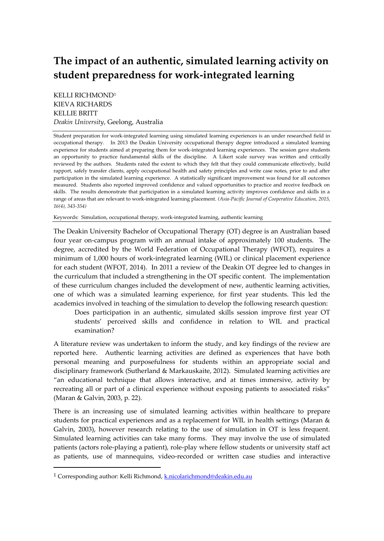# **The impact of an authentic, simulated learning activity on student preparedness for work-integrated learning**

KELLI RICHMOND<sup>1</sup> KIEVA RICHARDS KELLIE BRITT *Deakin University*, Geelong, Australia

Student preparation for work-integrated learning using simulated learning experiences is an under researched field in occupational therapy. In 2013 the Deakin University occupational therapy degree introduced a simulated learning experience for students aimed at preparing them for work-integrated learning experiences. The session gave students an opportunity to practice fundamental skills of the discipline. A Likert scale survey was written and critically reviewed by the authors. Students rated the extent to which they felt that they could communicate effectively, build rapport, safely transfer clients, apply occupational health and safety principles and write case notes, prior to and after participation in the simulated learning experience. A statistically significant improvement was found for all outcomes measured. Students also reported improved confidence and valued opportunities to practice and receive feedback on skills. The results demonstrate that participation in a simulated learning activity improves confidence and skills in a range of areas that are relevant to work-integrated learning placement. *(Asia-Pacific Journal of Cooperative Education, 2015, 16(4), 343-354)*

Keywords: Simulation, occupational therapy, work-integrated learning, authentic learning

The Deakin University Bachelor of Occupational Therapy (OT) degree is an Australian based four year on-campus program with an annual intake of approximately 100 students. The degree, accredited by the World Federation of Occupational Therapy (WFOT), requires a minimum of 1,000 hours of work-integrated learning (WIL) or clinical placement experience for each student (WFOT, 2014). In 2011 a review of the Deakin OT degree led to changes in the curriculum that included a strengthening in the OT specific content. The implementation of these curriculum changes included the development of new, authentic learning activities, one of which was a simulated learning experience, for first year students. This led the academics involved in teaching of the simulation to develop the following research question:

Does participation in an authentic, simulated skills session improve first year OT students' perceived skills and confidence in relation to WIL and practical examination?

A literature review was undertaken to inform the study, and key findings of the review are reported here. Authentic learning activities are defined as experiences that have both personal meaning and purposefulness for students within an appropriate social and disciplinary framework (Sutherland & Markauskaite, 2012). Simulated learning activities are "an educational technique that allows interactive, and at times immersive, activity by recreating all or part of a clinical experience without exposing patients to associated risks" (Maran & Galvin, 2003, p. 22).

There is an increasing use of simulated learning activities within healthcare to prepare students for practical experiences and as a replacement for WIL in health settings (Maran & Galvin, 2003), however research relating to the use of simulation in OT is less frequent. Simulated learning activities can take many forms. They may involve the use of simulated patients (actors role-playing a patient), role-play where fellow students or university staff act as patients, use of mannequins, video-recorded or written case studies and interactive

 $\overline{\phantom{a}}$ 

<sup>&</sup>lt;sup>1</sup> Corresponding author: Kelli Richmond, **k.nicolarichmond@deakin.edu.au**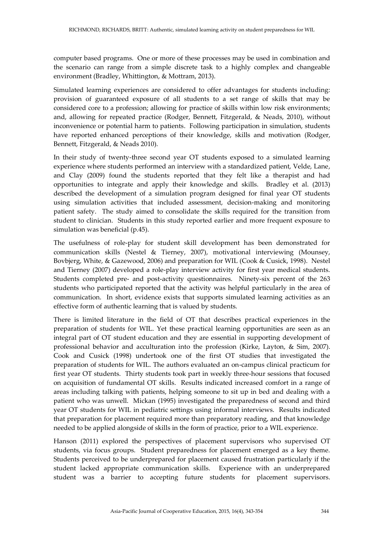computer based programs. One or more of these processes may be used in combination and the scenario can range from a simple discrete task to a highly complex and changeable environment (Bradley, Whittington, & Mottram, 2013).

Simulated learning experiences are considered to offer advantages for students including: provision of guaranteed exposure of all students to a set range of skills that may be considered core to a profession; allowing for practice of skills within low risk environments; and, allowing for repeated practice (Rodger, Bennett, Fitzgerald, & Neads, 2010), without inconvenience or potential harm to patients. Following participation in simulation, students have reported enhanced perceptions of their knowledge, skills and motivation (Rodger, Bennett, Fitzgerald, & Neads 2010).

In their study of twenty-three second year OT students exposed to a simulated learning experience where students performed an interview with a standardized patient, Velde, Lane, and Clay (2009) found the students reported that they felt like a therapist and had opportunities to integrate and apply their knowledge and skills. Bradley et al. (2013) described the development of a simulation program designed for final year OT students using simulation activities that included assessment, decision-making and monitoring patient safety. The study aimed to consolidate the skills required for the transition from student to clinician. Students in this study reported earlier and more frequent exposure to simulation was beneficial (p.45).

The usefulness of role-play for student skill development has been demonstrated for communication skills (Nestel & Tierney, 2007), motivational interviewing (Mounsey, Bovbjerg, White, & Gazewood, 2006) and preparation for WIL (Cook & Cusick, 1998). Nestel and Tierney (2007) developed a role-play interview activity for first year medical students. Students completed pre- and post-activity questionnaires. Ninety-six percent of the 263 students who participated reported that the activity was helpful particularly in the area of communication. In short, evidence exists that supports simulated learning activities as an effective form of authentic learning that is valued by students.

There is limited literature in the field of OT that describes practical experiences in the preparation of students for WIL. Yet these practical learning opportunities are seen as an integral part of OT student education and they are essential in supporting development of professional behavior and acculturation into the profession (Kirke, Layton, & Sim, 2007). Cook and Cusick (1998) undertook one of the first OT studies that investigated the preparation of students for WIL. The authors evaluated an on-campus clinical practicum for first year OT students. Thirty students took part in weekly three-hour sessions that focused on acquisition of fundamental OT skills. Results indicated increased comfort in a range of areas including talking with patients, helping someone to sit up in bed and dealing with a patient who was unwell. Mickan (1995) investigated the preparedness of second and third year OT students for WIL in pediatric settings using informal interviews. Results indicated that preparation for placement required more than preparatory reading, and that knowledge needed to be applied alongside of skills in the form of practice, prior to a WIL experience.

Hanson (2011) explored the perspectives of placement supervisors who supervised OT students, via focus groups. Student preparedness for placement emerged as a key theme. Students perceived to be underprepared for placement caused frustration particularly if the student lacked appropriate communication skills. Experience with an underprepared student was a barrier to accepting future students for placement supervisors.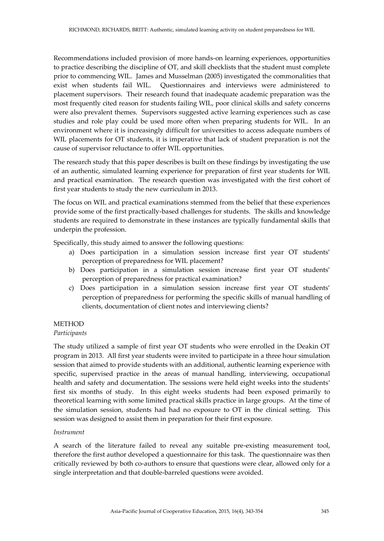Recommendations included provision of more hands-on learning experiences, opportunities to practice describing the discipline of OT, and skill checklists that the student must complete prior to commencing WIL. James and Musselman (2005) investigated the commonalities that exist when students fail WIL. Questionnaires and interviews were administered to placement supervisors. Their research found that inadequate academic preparation was the most frequently cited reason for students failing WIL, poor clinical skills and safety concerns were also prevalent themes. Supervisors suggested active learning experiences such as case studies and role play could be used more often when preparing students for WIL. In an environment where it is increasingly difficult for universities to access adequate numbers of WIL placements for OT students, it is imperative that lack of student preparation is not the cause of supervisor reluctance to offer WIL opportunities.

The research study that this paper describes is built on these findings by investigating the use of an authentic, simulated learning experience for preparation of first year students for WIL and practical examination. The research question was investigated with the first cohort of first year students to study the new curriculum in 2013.

The focus on WIL and practical examinations stemmed from the belief that these experiences provide some of the first practically-based challenges for students. The skills and knowledge students are required to demonstrate in these instances are typically fundamental skills that underpin the profession.

Specifically, this study aimed to answer the following questions:

- a) Does participation in a simulation session increase first year OT students' perception of preparedness for WIL placement?
- b) Does participation in a simulation session increase first year OT students' perception of preparedness for practical examination?
- c) Does participation in a simulation session increase first year OT students' perception of preparedness for performing the specific skills of manual handling of clients, documentation of client notes and interviewing clients?

# **METHOD**

### *Participants*

The study utilized a sample of first year OT students who were enrolled in the Deakin OT program in 2013. All first year students were invited to participate in a three hour simulation session that aimed to provide students with an additional, authentic learning experience with specific, supervised practice in the areas of manual handling, interviewing, occupational health and safety and documentation. The sessions were held eight weeks into the students' first six months of study. In this eight weeks students had been exposed primarily to theoretical learning with some limited practical skills practice in large groups. At the time of the simulation session, students had had no exposure to OT in the clinical setting. This session was designed to assist them in preparation for their first exposure.

### *Instrument*

A search of the literature failed to reveal any suitable pre-existing measurement tool, therefore the first author developed a questionnaire for this task. The questionnaire was then critically reviewed by both co-authors to ensure that questions were clear, allowed only for a single interpretation and that double-barreled questions were avoided.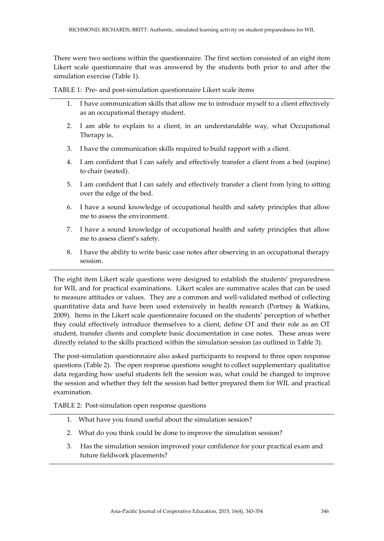There were two sections within the questionnaire. The first section consisted of an eight item Likert scale questionnaire that was answered by the students both prior to and after the simulation exercise (Table 1).

TABLE 1: Pre- and post-simulation questionnaire Likert scale items

- 1. I have communication skills that allow me to introduce myself to a client effectively as an occupational therapy student.
- 2. I am able to explain to a client, in an understandable way, what Occupational Therapy is.
- 3. I have the communication skills required to build rapport with a client.
- 4. I am confident that I can safely and effectively transfer a client from a bed (supine) to chair (seated).
- 5. I am confident that I can safely and effectively transfer a client from lying to sitting over the edge of the bed.
- 6. I have a sound knowledge of occupational health and safety principles that allow me to assess the environment.
- 7. I have a sound knowledge of occupational health and safety principles that allow me to assess client's safety.
- 8. I have the ability to write basic case notes after observing in an occupational therapy session.

The eight item Likert scale questions were designed to establish the students' preparedness for WIL and for practical examinations. Likert scales are summative scales that can be used to measure attitudes or values. They are a common and well-validated method of collecting quantitative data and have been used extensively in health research (Portney & Watkins, 2009). Items in the Likert scale questionnaire focused on the students' perception of whether they could effectively introduce themselves to a client, define OT and their role as an OT student, transfer clients and complete basic documentation in case notes. These areas were directly related to the skills practiced within the simulation session (as outlined in Table 3).

The post-simulation questionnaire also asked participants to respond to three open response questions (Table 2). The open response questions sought to collect supplementary qualitative data regarding how useful students felt the session was, what could be changed to improve the session and whether they felt the session had better prepared them for WIL and practical examination.

TABLE 2: Post-simulation open response questions

- 1. What have you found useful about the simulation session?
- 2. What do you think could be done to improve the simulation session?
- 3. Has the simulation session improved your confidence for your practical exam and future fieldwork placements?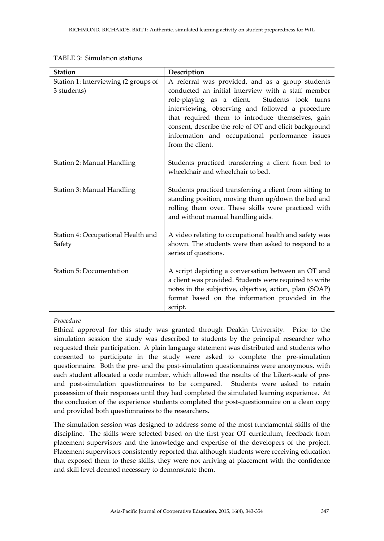| <b>Station</b>                                      | Description                                                                                                                                                                                                                                                                                                                                                                                         |
|-----------------------------------------------------|-----------------------------------------------------------------------------------------------------------------------------------------------------------------------------------------------------------------------------------------------------------------------------------------------------------------------------------------------------------------------------------------------------|
| Station 1: Interviewing (2 groups of<br>3 students) | A referral was provided, and as a group students<br>conducted an initial interview with a staff member<br>role-playing as a client.<br>Students took turns<br>interviewing, observing and followed a procedure<br>that required them to introduce themselves, gain<br>consent, describe the role of OT and elicit background<br>information and occupational performance issues<br>from the client. |
| Station 2: Manual Handling                          | Students practiced transferring a client from bed to<br>wheelchair and wheelchair to bed.                                                                                                                                                                                                                                                                                                           |
| Station 3: Manual Handling                          | Students practiced transferring a client from sitting to<br>standing position, moving them up/down the bed and<br>rolling them over. These skills were practiced with<br>and without manual handling aids.                                                                                                                                                                                          |
| Station 4: Occupational Health and<br>Safety        | A video relating to occupational health and safety was<br>shown. The students were then asked to respond to a<br>series of questions.                                                                                                                                                                                                                                                               |
| Station 5: Documentation                            | A script depicting a conversation between an OT and<br>a client was provided. Students were required to write<br>notes in the subjective, objective, action, plan (SOAP)<br>format based on the information provided in the<br>script.                                                                                                                                                              |

TABLE 3: Simulation stations

# *Procedure*

Ethical approval for this study was granted through Deakin University. Prior to the simulation session the study was described to students by the principal researcher who requested their participation. A plain language statement was distributed and students who consented to participate in the study were asked to complete the pre-simulation questionnaire. Both the pre- and the post-simulation questionnaires were anonymous, with each student allocated a code number, which allowed the results of the Likert-scale of preand post-simulation questionnaires to be compared. Students were asked to retain possession of their responses until they had completed the simulated learning experience. At the conclusion of the experience students completed the post-questionnaire on a clean copy and provided both questionnaires to the researchers.

The simulation session was designed to address some of the most fundamental skills of the discipline. The skills were selected based on the first year OT curriculum, feedback from placement supervisors and the knowledge and expertise of the developers of the project. Placement supervisors consistently reported that although students were receiving education that exposed them to these skills, they were not arriving at placement with the confidence and skill level deemed necessary to demonstrate them.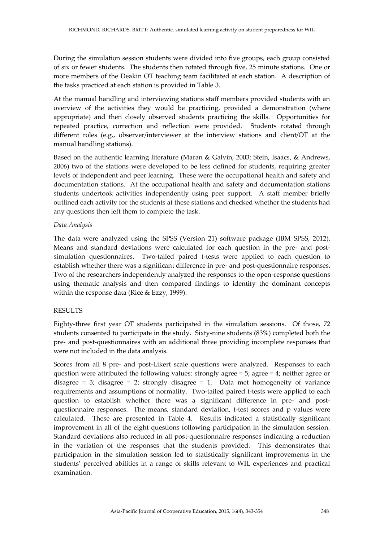During the simulation session students were divided into five groups, each group consisted of six or fewer students. The students then rotated through five, 25 minute stations. One or more members of the Deakin OT teaching team facilitated at each station. A description of the tasks practiced at each station is provided in Table 3.

At the manual handling and interviewing stations staff members provided students with an overview of the activities they would be practicing, provided a demonstration (where appropriate) and then closely observed students practicing the skills. Opportunities for repeated practice, correction and reflection were provided. Students rotated through different roles (e.g., observer/interviewer at the interview stations and client/OT at the manual handling stations).

Based on the authentic learning literature (Maran & Galvin, 2003; Stein, Isaacs, & Andrews, 2006) two of the stations were developed to be less defined for students, requiring greater levels of independent and peer learning. These were the occupational health and safety and documentation stations. At the occupational health and safety and documentation stations students undertook activities independently using peer support. A staff member briefly outlined each activity for the students at these stations and checked whether the students had any questions then left them to complete the task.

### *Data Analysis*

The data were analyzed using the SPSS (Version 21) software package (IBM SPSS, 2012). Means and standard deviations were calculated for each question in the pre- and postsimulation questionnaires. Two-tailed paired t-tests were applied to each question to establish whether there was a significant difference in pre- and post-questionnaire responses. Two of the researchers independently analyzed the responses to the open-response questions using thematic analysis and then compared findings to identify the dominant concepts within the response data (Rice & Ezzy, 1999).

### RESULTS

Eighty-three first year OT students participated in the simulation sessions. Of those, 72 students consented to participate in the study. Sixty-nine students (83%) completed both the pre- and post-questionnaires with an additional three providing incomplete responses that were not included in the data analysis.

Scores from all 8 pre- and post-Likert scale questions were analyzed. Responses to each question were attributed the following values: strongly agree = 5; agree = 4; neither agree or disagree = 3; disagree = 2; strongly disagree = 1. Data met homogeneity of variance requirements and assumptions of normality. Two-tailed paired t-tests were applied to each question to establish whether there was a significant difference in pre- and postquestionnaire responses. The means, standard deviation, t-test scores and p values were calculated. These are presented in Table 4. Results indicated a statistically significant improvement in all of the eight questions following participation in the simulation session. Standard deviations also reduced in all post-questionnaire responses indicating a reduction in the variation of the responses that the students provided. This demonstrates that participation in the simulation session led to statistically significant improvements in the students' perceived abilities in a range of skills relevant to WIL experiences and practical examination.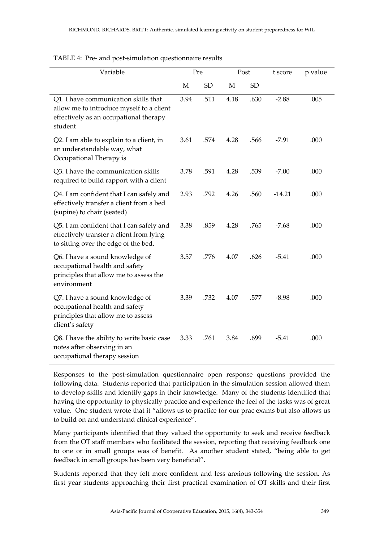| Variable                                                                                                                              | Pre  |           | Post |           | t score  | p value |
|---------------------------------------------------------------------------------------------------------------------------------------|------|-----------|------|-----------|----------|---------|
|                                                                                                                                       | М    | <b>SD</b> | М    | <b>SD</b> |          |         |
| Q1. I have communication skills that<br>allow me to introduce myself to a client<br>effectively as an occupational therapy<br>student | 3.94 | .511      | 4.18 | .630      | $-2.88$  | .005    |
| Q2. I am able to explain to a client, in<br>an understandable way, what<br>Occupational Therapy is                                    | 3.61 | .574      | 4.28 | .566      | $-7.91$  | .000    |
| Q3. I have the communication skills<br>required to build rapport with a client                                                        | 3.78 | .591      | 4.28 | .539      | $-7.00$  | .000    |
| Q4. I am confident that I can safely and<br>effectively transfer a client from a bed<br>(supine) to chair (seated)                    | 2.93 | .792      | 4.26 | .560      | $-14.21$ | .000    |
| Q5. I am confident that I can safely and<br>effectively transfer a client from lying<br>to sitting over the edge of the bed.          | 3.38 | .859      | 4.28 | .765      | $-7.68$  | .000    |
| Q6. I have a sound knowledge of<br>occupational health and safety<br>principles that allow me to assess the<br>environment            | 3.57 | .776      | 4.07 | .626      | $-5.41$  | .000    |
| Q7. I have a sound knowledge of<br>occupational health and safety<br>principles that allow me to assess<br>client's safety            | 3.39 | .732      | 4.07 | .577      | $-8.98$  | .000    |
| Q8. I have the ability to write basic case<br>notes after observing in an<br>occupational therapy session                             | 3.33 | .761      | 3.84 | .699      | $-5.41$  | .000    |

#### TABLE 4: Pre- and post-simulation questionnaire results

Responses to the post-simulation questionnaire open response questions provided the following data. Students reported that participation in the simulation session allowed them to develop skills and identify gaps in their knowledge. Many of the students identified that having the opportunity to physically practice and experience the feel of the tasks was of great value. One student wrote that it "allows us to practice for our prac exams but also allows us to build on and understand clinical experience".

Many participants identified that they valued the opportunity to seek and receive feedback from the OT staff members who facilitated the session, reporting that receiving feedback one to one or in small groups was of benefit. As another student stated, "being able to get feedback in small groups has been very beneficial".

Students reported that they felt more confident and less anxious following the session. As first year students approaching their first practical examination of OT skills and their first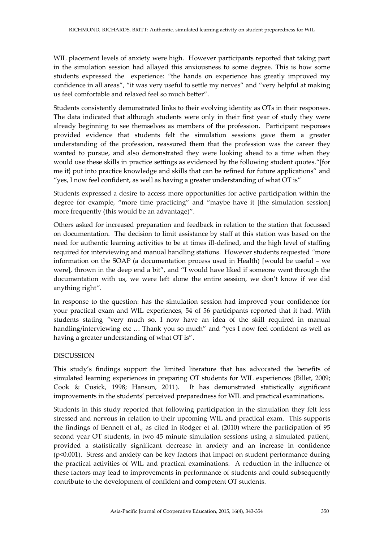WIL placement levels of anxiety were high. However participants reported that taking part in the simulation session had allayed this anxiousness to some degree. This is how some students expressed the experience: *"*the hands on experience has greatly improved my confidence in all areas", "it was very useful to settle my nerves" and "very helpful at making us feel comfortable and relaxed feel so much better".

Students consistently demonstrated links to their evolving identity as OTs in their responses. The data indicated that although students were only in their first year of study they were already beginning to see themselves as members of the profession. Participant responses provided evidence that students felt the simulation sessions gave them a greater understanding of the profession, reassured them that the profession was the career they wanted to pursue, and also demonstrated they were looking ahead to a time when they would use these skills in practice settings as evidenced by the following student quotes."[for me it} put into practice knowledge and skills that can be refined for future applications" and "yes, I now feel confident, as well as having a greater understanding of what OT is"

Students expressed a desire to access more opportunities for active participation within the degree for example, "more time practicing" and "maybe have it [the simulation session] more frequently (this would be an advantage)".

Others asked for increased preparation and feedback in relation to the station that focussed on documentation. The decision to limit assistance by staff at this station was based on the need for authentic learning activities to be at times ill-defined, and the high level of staffing required for interviewing and manual handling stations. However students requested *"*more information on the SOAP (a documentation process used in Health) [would be useful – we were], thrown in the deep end a bit", and "I would have liked if someone went through the documentation with us, we were left alone the entire session, we don't know if we did anything right*".*

In response to the question: has the simulation session had improved your confidence for your practical exam and WIL experiences, 54 of 56 participants reported that it had. With students stating *"*very much so. I now have an idea of the skill required in manual handling/interviewing etc ... Thank you so much" and "yes I now feel confident as well as having a greater understanding of what OT is".

### DISCUSSION

This study's findings support the limited literature that has advocated the benefits of simulated learning experiences in preparing OT students for WIL experiences (Billet, 2009; Cook & Cusick, 1998; Hanson, 2011). It has demonstrated statistically significant improvements in the students' perceived preparedness for WIL and practical examinations.

Students in this study reported that following participation in the simulation they felt less stressed and nervous in relation to their upcoming WIL and practical exam. This supports the findings of Bennett et al., as cited in Rodger et al. (2010) where the participation of 95 second year OT students, in two 45 minute simulation sessions using a simulated patient, provided a statistically significant decrease in anxiety and an increase in confidence (p<0.001). Stress and anxiety can be key factors that impact on student performance during the practical activities of WIL and practical examinations. A reduction in the influence of these factors may lead to improvements in performance of students and could subsequently contribute to the development of confident and competent OT students.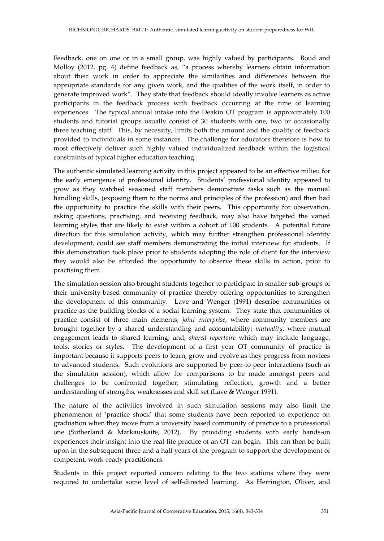Feedback, one on one or in a small group, was highly valued by participants. Boud and Molloy (2012, pg. 4) define feedback as, "a process whereby learners obtain information about their work in order to appreciate the similarities and differences between the appropriate standards for any given work, and the qualities of the work itself, in order to generate improved work". They state that feedback should ideally involve learners as active participants in the feedback process with feedback occurring at the time of learning experiences. The typical annual intake into the Deakin OT program is approximately 100 students and tutorial groups usually consist of 30 students with one, two or occasionally three teaching staff. This, by necessity, limits both the amount and the quality of feedback provided to individuals in some instances. The challenge for educators therefore is how to most effectively deliver such highly valued individualized feedback within the logistical constraints of typical higher education teaching.

The authentic simulated learning activity in this project appeared to be an effective milieu for the early emergence of professional identity. Students' professional identity appeared to grow as they watched seasoned staff members demonstrate tasks such as the manual handling skills, (exposing them to the norms and principles of the profession) and then had the opportunity to practice the skills with their peers. This opportunity for observation, asking questions, practising, and receiving feedback, may also have targeted the varied learning styles that are likely to exist within a cohort of 100 students. A potential future direction for this simulation activity, which may further strengthen professional identity development, could see staff members demonstrating the initial interview for students. If this demonstration took place prior to students adopting the role of client for the interview they would also be afforded the opportunity to observe these skills in action, prior to practising them.

The simulation session also brought students together to participate in smaller sub-groups of their university-based community of practice thereby offering opportunities to strengthen the development of this community. Lave and Wenger (1991) describe communities of practice as the building blocks of a social learning system. They state that communities of practice consist of three main elements; *joint enterprise*, where community members are brought together by a shared understanding and accountability; *mutuality*, where mutual engagement leads to shared learning; and, *shared repertoire* which may include language, tools, stories or styles. The development of a first year OT community of practice is important because it supports peers to learn, grow and evolve as they progress from novices to advanced students. Such evolutions are supported by peer-to-peer interactions (such as the simulation session), which allow for comparisons to be made amongst peers and challenges to be confronted together, stimulating reflection, growth and a better understanding of strengths, weaknesses and skill set (Lave & Wenger 1991).

The nature of the activities involved in such simulation sessions may also limit the phenomenon of 'practice shock' that some students have been reported to experience on graduation when they move from a university based community of practice to a professional one (Sutherland & Markauskaite, 2012). By providing students with early hands-on experiences their insight into the real-life practice of an OT can begin. This can then be built upon in the subsequent three and a half years of the program to support the development of competent, work-ready practitioners.

Students in this project reported concern relating to the two stations where they were required to undertake some level of self-directed learning. As Herrington, Oliver, and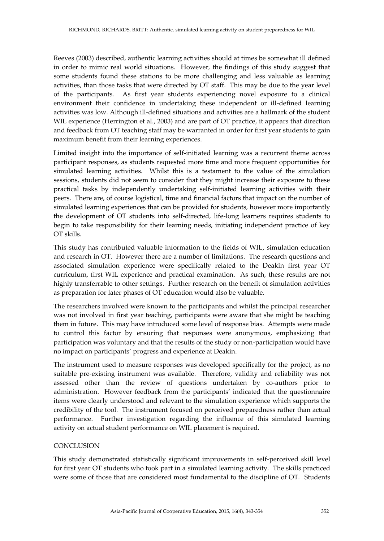Reeves (2003) described, authentic learning activities should at times be somewhat ill defined in order to mimic real world situations. However, the findings of this study suggest that some students found these stations to be more challenging and less valuable as learning activities, than those tasks that were directed by OT staff. This may be due to the year level of the participants. As first year students experiencing novel exposure to a clinical environment their confidence in undertaking these independent or ill-defined learning activities was low. Although ill-defined situations and activities are a hallmark of the student WIL experience (Herrington et al., 2003) and are part of OT practice, it appears that direction and feedback from OT teaching staff may be warranted in order for first year students to gain maximum benefit from their learning experiences.

Limited insight into the importance of self-initiated learning was a recurrent theme across participant responses, as students requested more time and more frequent opportunities for simulated learning activities. Whilst this is a testament to the value of the simulation sessions, students did not seem to consider that they might increase their exposure to these practical tasks by independently undertaking self-initiated learning activities with their peers. There are, of course logistical, time and financial factors that impact on the number of simulated learning experiences that can be provided for students, however more importantly the development of OT students into self-directed, life-long learners requires students to begin to take responsibility for their learning needs, initiating independent practice of key OT skills.

This study has contributed valuable information to the fields of WIL, simulation education and research in OT. However there are a number of limitations. The research questions and associated simulation experience were specifically related to the Deakin first year OT curriculum, first WIL experience and practical examination. As such, these results are not highly transferrable to other settings. Further research on the benefit of simulation activities as preparation for later phases of OT education would also be valuable.

The researchers involved were known to the participants and whilst the principal researcher was not involved in first year teaching, participants were aware that she might be teaching them in future. This may have introduced some level of response bias. Attempts were made to control this factor by ensuring that responses were anonymous, emphasizing that participation was voluntary and that the results of the study or non-participation would have no impact on participants' progress and experience at Deakin.

The instrument used to measure responses was developed specifically for the project, as no suitable pre-existing instrument was available. Therefore, validity and reliability was not assessed other than the review of questions undertaken by co-authors prior to administration. However feedback from the participants' indicated that the questionnaire items were clearly understood and relevant to the simulation experience which supports the credibility of the tool. The instrument focused on perceived preparedness rather than actual performance. Further investigation regarding the influence of this simulated learning activity on actual student performance on WIL placement is required.

### **CONCLUSION**

This study demonstrated statistically significant improvements in self-perceived skill level for first year OT students who took part in a simulated learning activity. The skills practiced were some of those that are considered most fundamental to the discipline of OT. Students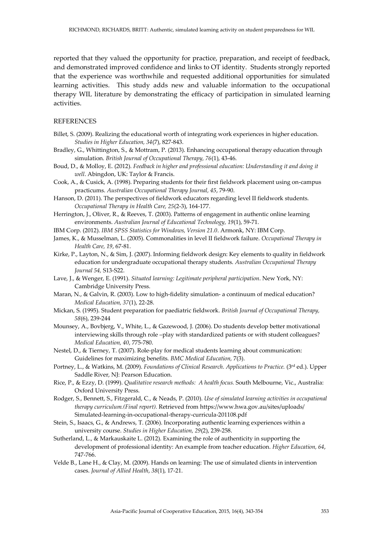reported that they valued the opportunity for practice, preparation, and receipt of feedback, and demonstrated improved confidence and links to OT identity. Students strongly reported that the experience was worthwhile and requested additional opportunities for simulated learning activities. This study adds new and valuable information to the occupational therapy WIL literature by demonstrating the efficacy of participation in simulated learning activities.

#### **REFERENCES**

- Billet, S. (2009). Realizing the educational worth of integrating work experiences in higher education. *Studies in Higher Education, 34*(7), 827-843.
- Bradley, G., Whittington, S., & Mottram, P. (2013). Enhancing occupational therapy education through simulation. *British Journal of Occupational Therapy, 76*(1), 43-46.
- Boud, D., & Molloy, E. (2012). *Feedback in higher and professional education: Understanding it and doing it well*. Abingdon, UK: Taylor & Francis.
- Cook, A., & Cusick, A. (1998). Preparing students for their first fieldwork placement using on-campus practicums. *Australian Occupational Therapy Journal, 45*, 79-90.
- Hanson, D. (2011). The perspectives of fieldwork educators regarding level II fieldwork students. *Occupational Therapy in Health Care, 25*(2-3), 164-177.
- Herrington, J., Oliver, R., & Reeves, T. (2003). Patterns of engagement in authentic online learning environments. *Australian Journal of Educational Technology, 19*(1), 59-71.
- IBM Corp. (2012). *IBM SPSS Statistics for Windows, Version 21.0*. Armonk, NY: IBM Corp.
- James, K., & Musselman, L. (2005). Commonalities in level II fieldwork failure. *Occupational Therapy in Health Care, 19*, 67-81.
- Kirke, P., Layton, N., & Sim, J. (2007). Informing fieldwork design: Key elements to quality in fieldwork education for undergraduate occupational therapy students. *Australian Occupational Therapy Journal 54,* S13-S22.
- Lave, J., & Wenger, E. (1991). *Situated learning: Legitimate peripheral participation*. New York, NY: Cambridge University Press.
- Maran, N., & Galvin, R. (2003). Low to high-fidelity simulation- a continuum of medical education? *Medical Education, 37*(1), 22-28.
- Mickan, S. (1995). Student preparation for paediatric fieldwork. *British Journal of Occupational Therapy, 58*(6), 239-244
- Mounsey, A., Bovbjerg, V., White, L., & Gazewood, J. (2006). Do students develop better motivational interviewing skills through role –play with standardized patients or with student colleagues? *Medical Education, 40*, 775-780.
- Nestel, D., & Tierney, T. (2007). Role-play for medical students learning about communication: Guidelines for maximizing benefits. *BMC Medical Education,* 7(3).
- Portney, L., & Watkins, M. (2009). *Foundations of Clinical Research. Applications to Practice.* (3rd ed.). Upper Saddle River, NJ: Pearson Education.
- Rice, P., & Ezzy, D. (1999). *Qualitative research methods: A health focus.* South Melbourne, Vic., Australia: Oxford University Press.
- Rodger, S., Bennett, S., Fitzgerald, C., & Neads, P. (2010). *Use of simulated learning activities in occupational therapy curriculum.(Final report).* Retrieved from https://www.hwa.gov.au/sites/uploads/ Simulated-learning-in-occupational-therapy-curricula-201108.pdf
- Stein, S., Isaacs, G., & Andrews, T. (2006). Incorporating authentic learning experiences within a university course. *Studies in Higher Education, 29*(2), 239-258.
- Sutherland, L., & Markauskaite L. (2012). Examining the role of authenticity in supporting the development of professional identity: An example from teacher education. *Higher Education, 64*, 747-766.
- Velde B., Lane H., & Clay, M. (2009). Hands on learning: The use of simulated clients in intervention cases. *Journal of Allied Health*, *38*(1), 17-21.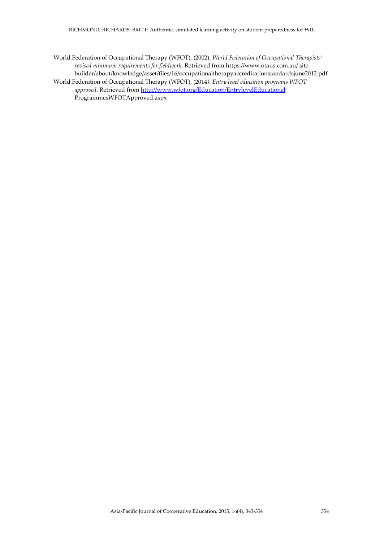- World Federation of Occupational Therapy (WFOT), (2002). *World Federation of Occupational Therapists' revised minimum requirements for fieldwork*. Retrieved from https://www.otaus.com.au/ site builder/about/knowledge/asset/files/16/occupationaltherapyaccreditationstandardsjune2012.pdf
- World Federation of Occupational Therapy (WFOT), (2014*). Entry level education programs WFOT approved*. Retrieved from <http://www.wfot.org/Education/EntrylevelEducational> ProgrammesWFOTApproved.aspx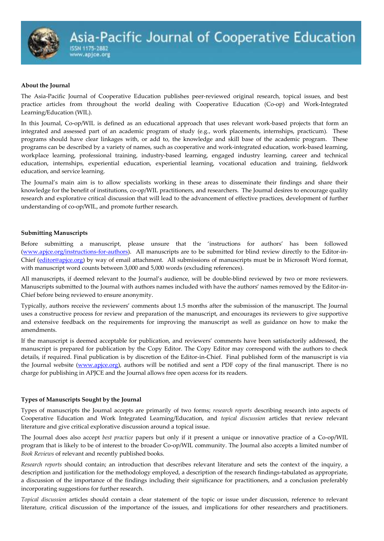#### **About the Journal**

The Asia-Pacific Journal of Cooperative Education publishes peer-reviewed original research, topical issues, and best practice articles from throughout the world dealing with Cooperative Education (Co-op) and Work-Integrated Learning/Education (WIL).

In this Journal, Co-op/WIL is defined as an educational approach that uses relevant work-based projects that form an integrated and assessed part of an academic program of study (e.g., work placements, internships, practicum). These programs should have clear linkages with, or add to, the knowledge and skill base of the academic program. These programs can be described by a variety of names, such as cooperative and work-integrated education, work-based learning, workplace learning, professional training, industry-based learning, engaged industry learning, career and technical education, internships, experiential education, experiential learning, vocational education and training, fieldwork education, and service learning.

The Journal's main aim is to allow specialists working in these areas to disseminate their findings and share their knowledge for the benefit of institutions, co-op/WIL practitioners, and researchers. The Journal desires to encourage quality research and explorative critical discussion that will lead to the advancement of effective practices, development of further understanding of co-op/WIL, and promote further research.

#### **Submitting Manuscripts**

Before submitting a manuscript, please unsure that the 'instructions for authors' has been followed [\(www.apjce.org/instructions-for-authors\)](http://www.apjce.org/instructions-for-authors). All manuscripts are to be submitted for blind review directly to the Editor-in-Chief [\(editor@apjce.org\)](mailto:editor@apjce.org) by way of email attachment. All submissions of manuscripts must be in Microsoft Word format, with manuscript word counts between 3,000 and 5,000 words (excluding references).

All manuscripts, if deemed relevant to the Journal's audience, will be double-blind reviewed by two or more reviewers. Manuscripts submitted to the Journal with authors names included with have the authors' names removed by the Editor-in-Chief before being reviewed to ensure anonymity.

Typically, authors receive the reviewers' comments about 1.5 months after the submission of the manuscript. The Journal uses a constructive process for review and preparation of the manuscript, and encourages its reviewers to give supportive and extensive feedback on the requirements for improving the manuscript as well as guidance on how to make the amendments.

If the manuscript is deemed acceptable for publication, and reviewers' comments have been satisfactorily addressed, the manuscript is prepared for publication by the Copy Editor. The Copy Editor may correspond with the authors to check details, if required. Final publication is by discretion of the Editor-in-Chief. Final published form of the manuscript is via the Journal website [\(www.apjce.org\)](http://www.apjce.org/), authors will be notified and sent a PDF copy of the final manuscript. There is no charge for publishing in APJCE and the Journal allows free open access for its readers.

### **Types of Manuscripts Sought by the Journal**

Types of manuscripts the Journal accepts are primarily of two forms; *research reports* describing research into aspects of Cooperative Education and Work Integrated Learning/Education, and *topical discussion* articles that review relevant literature and give critical explorative discussion around a topical issue.

The Journal does also accept *best practice* papers but only if it present a unique or innovative practice of a Co-op/WIL program that is likely to be of interest to the broader Co-op/WIL community. The Journal also accepts a limited number of *Book Reviews* of relevant and recently published books.

*Research reports* should contain; an introduction that describes relevant literature and sets the context of the inquiry, a description and justification for the methodology employed, a description of the research findings-tabulated as appropriate, a discussion of the importance of the findings including their significance for practitioners, and a conclusion preferably incorporating suggestions for further research.

*Topical discussion* articles should contain a clear statement of the topic or issue under discussion, reference to relevant literature, critical discussion of the importance of the issues, and implications for other researchers and practitioners.